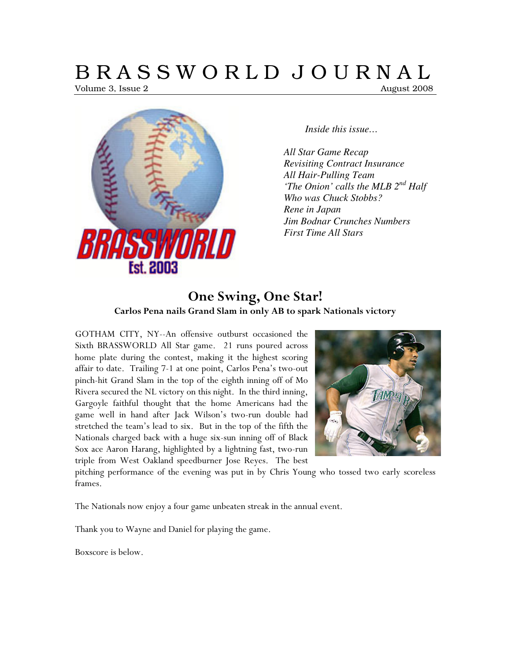# B R A S S W O R L D J O U R N A L

Volume 3, Issue 2 **August 2008** August 2008



*Inside this issue…* 

*All Star Game Recap Revisiting Contract Insurance All Hair-Pulling Team 'The Onion' calls the MLB 2nd Half Who was Chuck Stobbs? Rene in Japan Jim Bodnar Crunches Numbers First Time All Stars* 

# One Swing, One Star! Carlos Pena nails Grand Slam in only AB to spark Nationals victory

GOTHAM CITY, NY--An offensive outburst occasioned the Sixth BRASSWORLD All Star game. 21 runs poured across home plate during the contest, making it the highest scoring affair to date. Trailing 7-1 at one point, Carlos Pena's two-out pinch-hit Grand Slam in the top of the eighth inning off of Mo Rivera secured the NL victory on this night. In the third inning, Gargoyle faithful thought that the home Americans had the game well in hand after Jack Wilson's two-run double had stretched the team's lead to six. But in the top of the fifth the Nationals charged back with a huge six-sun inning off of Black Sox ace Aaron Harang, highlighted by a lightning fast, two-run triple from West Oakland speedburner Jose Reyes. The best



pitching performance of the evening was put in by Chris Young who tossed two early scoreless frames.

The Nationals now enjoy a four game unbeaten streak in the annual event.

Thank you to Wayne and Daniel for playing the game.

Boxscore is below.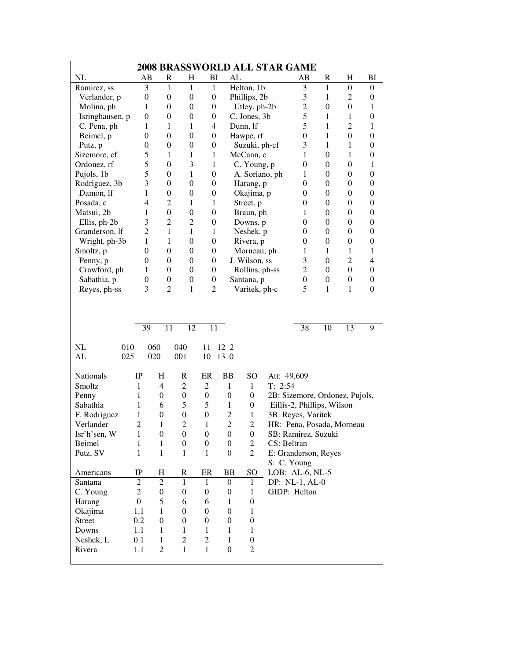| <b>2008 BRASSWORLD ALL STAR GAME</b> |                        |                  |                  |                  |                  |                  |             |                                |                  |                  |                  |
|--------------------------------------|------------------------|------------------|------------------|------------------|------------------|------------------|-------------|--------------------------------|------------------|------------------|------------------|
| NL                                   | $\mathbf{A}\mathbf{B}$ | R                | $H_{\rm}$        | BI               | AL               |                  |             | AB                             | R                | H                | BI               |
| Ramirez, ss                          | 3                      | $\mathbf{1}$     | 1                | $\mathbf{1}$     |                  | Helton, 1b       |             | 3                              | $\mathbf{1}$     | $\boldsymbol{0}$ | $\theta$         |
| Verlander, p                         | $\boldsymbol{0}$       | $\boldsymbol{0}$ | $\boldsymbol{0}$ | $\boldsymbol{0}$ |                  | Phillips, 2b     |             | 3                              | 1                | $\overline{2}$   | $\boldsymbol{0}$ |
| Molina, ph                           | 1                      | $\theta$         | $\boldsymbol{0}$ | $\boldsymbol{0}$ |                  | Utley, ph-2b     |             | $\overline{c}$                 | $\theta$         | $\boldsymbol{0}$ | 1                |
| Isringhausen, p                      | $\boldsymbol{0}$       | $\theta$         | $\boldsymbol{0}$ | $\boldsymbol{0}$ |                  | C. Jones, 3b     |             | 5                              | 1                | 1                | $\boldsymbol{0}$ |
| C. Pena, ph                          | 1                      | 1                | $\mathbf 1$      | 4                |                  | Dunn, lf         |             | 5                              | 1                | $\overline{c}$   | 1                |
| Beimel, p                            | $\boldsymbol{0}$       | $\boldsymbol{0}$ | $\boldsymbol{0}$ | $\boldsymbol{0}$ |                  | Hawpe, rf        |             | $\mathbf{0}$                   | 1                | $\boldsymbol{0}$ | $\boldsymbol{0}$ |
| Putz, p                              | $\boldsymbol{0}$       | $\overline{0}$   | $\boldsymbol{0}$ | $\boldsymbol{0}$ |                  | Suzuki, ph-cf    |             | 3                              | 1                | $\mathbf 1$      | $\boldsymbol{0}$ |
| Sizemore, cf                         | 5                      | $\mathbf{1}$     | $\mathbf 1$      | $\mathbf{1}$     |                  | McCann, c        |             | 1                              | $\boldsymbol{0}$ | $\mathbf 1$      | $\boldsymbol{0}$ |
| Ordonez, rf                          | 5                      | $\theta$         | 3                | 1                |                  | C. Young, p      |             | $\boldsymbol{0}$               | $\theta$         | $\boldsymbol{0}$ | 1                |
| Pujols, 1b                           | 5                      | $\theta$         | $\mathbf 1$      | $\boldsymbol{0}$ |                  | A. Soriano, ph   |             | 1                              | $\theta$         | $\boldsymbol{0}$ | $\boldsymbol{0}$ |
| Rodriguez, 3b                        | 3                      | $\theta$         | $\overline{0}$   | $\theta$         |                  | Harang, p        |             | $\boldsymbol{0}$               | $\theta$         | $\boldsymbol{0}$ | $\mathbf{0}$     |
| Damon, lf                            | 1                      | $\theta$         | $\boldsymbol{0}$ | $\boldsymbol{0}$ |                  | Okajima, p       |             | $\boldsymbol{0}$               | $\theta$         | $\boldsymbol{0}$ | $\boldsymbol{0}$ |
| Posada, c                            | $\overline{4}$         | $\overline{c}$   | 1                | 1                |                  | Street, p        |             | $\boldsymbol{0}$               | $\theta$         | $\boldsymbol{0}$ | $\boldsymbol{0}$ |
| Matsui, 2b                           | 1                      | $\theta$         | $\boldsymbol{0}$ | $\boldsymbol{0}$ |                  | Braun, ph        |             | 1                              | $\theta$         | $\boldsymbol{0}$ | $\boldsymbol{0}$ |
| Ellis, ph-2b                         | 3                      | $\overline{c}$   | $\overline{c}$   | $\boldsymbol{0}$ |                  | Downs, p         |             | $\boldsymbol{0}$               | $\theta$         | $\boldsymbol{0}$ | $\boldsymbol{0}$ |
| Granderson, lf                       | $\overline{2}$         | 1                | 1                | 1                |                  | Neshek, p        |             | $\boldsymbol{0}$               | $\theta$         | $\boldsymbol{0}$ | $\boldsymbol{0}$ |
| Wright, ph-3b                        | 1                      | $\mathbf{1}$     | $\overline{0}$   | $\boldsymbol{0}$ |                  | Rivera, p        |             | $\boldsymbol{0}$               | $\theta$         | $\boldsymbol{0}$ | $\boldsymbol{0}$ |
| Smoltz, p                            | $\boldsymbol{0}$       | $\boldsymbol{0}$ | $\boldsymbol{0}$ | $\boldsymbol{0}$ |                  | Morneau, ph      |             | 1                              | 1                | 1                | 1                |
| Penny, p                             | $\boldsymbol{0}$       | $\boldsymbol{0}$ | $\boldsymbol{0}$ | $\boldsymbol{0}$ |                  | J. Wilson, ss    |             | 3                              | $\theta$         | $\overline{2}$   | 4                |
| Crawford, ph                         | 1                      | $\boldsymbol{0}$ | $\boldsymbol{0}$ | $\boldsymbol{0}$ |                  | Rollins, ph-ss   |             | $\overline{c}$                 | $\theta$         | $\boldsymbol{0}$ | $\boldsymbol{0}$ |
| Sabathia, p                          | $\boldsymbol{0}$       | $\boldsymbol{0}$ | $\boldsymbol{0}$ | $\boldsymbol{0}$ |                  | Santana, p       |             | $\boldsymbol{0}$               | $\boldsymbol{0}$ | $\boldsymbol{0}$ | $\boldsymbol{0}$ |
| Reyes, ph-ss                         | 3                      | $\overline{2}$   | $\mathbf 1$      | 2                |                  | Varitek, ph-c    |             | 5                              | 1                | $\mathbf 1$      | $\boldsymbol{0}$ |
|                                      |                        |                  |                  |                  |                  |                  |             |                                |                  |                  |                  |
|                                      |                        |                  |                  |                  |                  |                  |             |                                |                  |                  |                  |
|                                      |                        |                  |                  |                  |                  |                  |             |                                |                  |                  |                  |
|                                      | 39                     | 11               | 12               | 11               |                  |                  |             | 38                             | 10               | 13               | 9                |
| NL<br>010                            | 060                    |                  | 040              | 11               | 12 2             |                  |             |                                |                  |                  |                  |
| AL<br>025                            | 020                    |                  | 001              | 10               | 13 0             |                  |             |                                |                  |                  |                  |
|                                      |                        |                  |                  |                  |                  |                  |             |                                |                  |                  |                  |
| Nationals                            | IP                     | H                | R                | ER               | <b>BB</b>        | SO               | Att: 49,609 |                                |                  |                  |                  |
| Smoltz                               | $\mathbf{1}$           | $\overline{4}$   | $\overline{2}$   | $\mathfrak 2$    | $\mathbf{1}$     | $\mathbf{1}$     | T: 2:54     |                                |                  |                  |                  |
| Penny                                | 1                      | $\boldsymbol{0}$ | $\boldsymbol{0}$ | $\boldsymbol{0}$ | $\boldsymbol{0}$ | $\boldsymbol{0}$ |             | 2B: Sizemore, Ordonez, Pujols, |                  |                  |                  |
| Sabathia                             | 1                      | 6                | 5                | 5                | $\mathbf{1}$     | $\boldsymbol{0}$ |             | Eillis-2, Phillips, Wilson     |                  |                  |                  |
| F. Rodriguez                         | 1                      | $\boldsymbol{0}$ | $\boldsymbol{0}$ | $\boldsymbol{0}$ | $\overline{c}$   | $\,1$            |             | 3B: Reyes, Varitek             |                  |                  |                  |
| Verlander                            | $\overline{c}$         | $\mathbf{1}$     | $\overline{2}$   | $\mathbf{1}$     | $\overline{c}$   | $\overline{c}$   |             | HR: Pena, Posada, Morneau      |                  |                  |                  |
| Isr'h'sen, W                         | 1                      | $\boldsymbol{0}$ | $\boldsymbol{0}$ | $\boldsymbol{0}$ | $\boldsymbol{0}$ | $\boldsymbol{0}$ |             | SB: Ramirez, Suzuki            |                  |                  |                  |
| Beimel                               | 1                      | 1                | $\boldsymbol{0}$ | $\boldsymbol{0}$ | $\boldsymbol{0}$ | $\overline{c}$   | CS: Beltran |                                |                  |                  |                  |
| Putz, SV                             | $\mathbf{1}$           | $\mathbf{1}$     | $\mathbf{1}$     | $\mathbf{1}$     | $\boldsymbol{0}$ | $\overline{2}$   |             | E: Granderson, Reyes           |                  |                  |                  |
|                                      |                        |                  |                  |                  |                  |                  |             | S: C. Young                    |                  |                  |                  |
| Americans                            | $_{\rm IP}$            | H                | R                | ER               | BB               | SO               |             | LOB: AL-6, NL-5                |                  |                  |                  |
| Santana                              | $\overline{c}$         | $\boldsymbol{2}$ | $\mathbf{1}$     | $\mathbf{1}$     | $\boldsymbol{0}$ | 1                |             | DP: NL-1, AL-0                 |                  |                  |                  |
| C. Young                             | $\overline{c}$         | $\boldsymbol{0}$ | 0                | $\boldsymbol{0}$ | $\boldsymbol{0}$ | 1                |             | GIDP: Helton                   |                  |                  |                  |
| Harang                               | $\boldsymbol{0}$       | 5                | 6                | 6                | 1                | $\overline{0}$   |             |                                |                  |                  |                  |
| Okajima                              | 1.1                    | $\mathbf{1}$     | $\mathbf{0}$     | $\boldsymbol{0}$ | $\boldsymbol{0}$ | 1                |             |                                |                  |                  |                  |
| <b>Street</b>                        | 0.2                    | $\boldsymbol{0}$ | $\boldsymbol{0}$ | $\boldsymbol{0}$ | $\boldsymbol{0}$ | $\boldsymbol{0}$ |             |                                |                  |                  |                  |
| Downs                                | 1.1                    | $\mathbf{1}$     | $\mathbf{1}$     | $\mathbf{1}$     | 1                | 1                |             |                                |                  |                  |                  |
| Neshek, L                            | 0.1                    | $\mathbf{1}$     | $\mathbf{2}$     | $\overline{c}$   | 1                | $\boldsymbol{0}$ |             |                                |                  |                  |                  |
| Rivera                               | 1.1                    | $\mathfrak{2}$   | $\mathbf{1}$     | $\mathbf{1}$     | $\boldsymbol{0}$ | $\overline{c}$   |             |                                |                  |                  |                  |
|                                      |                        |                  |                  |                  |                  |                  |             |                                |                  |                  |                  |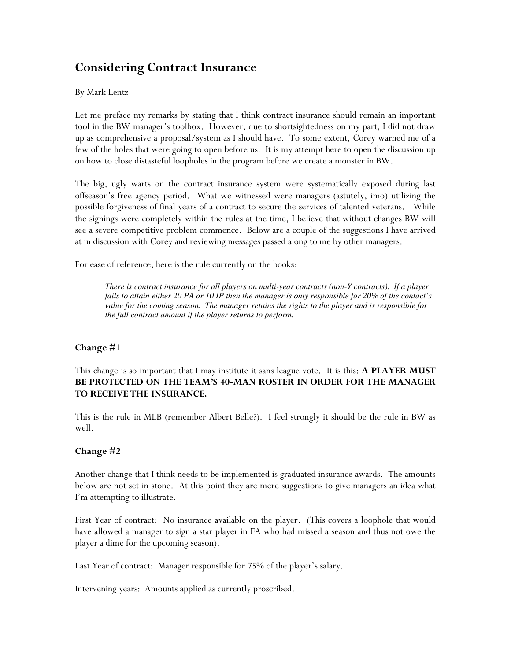# Considering Contract Insurance

#### By Mark Lentz

Let me preface my remarks by stating that I think contract insurance should remain an important tool in the BW manager's toolbox. However, due to shortsightedness on my part, I did not draw up as comprehensive a proposal/system as I should have. To some extent, Corey warned me of a few of the holes that were going to open before us. It is my attempt here to open the discussion up on how to close distasteful loopholes in the program before we create a monster in BW.

The big, ugly warts on the contract insurance system were systematically exposed during last offseason's free agency period. What we witnessed were managers (astutely, imo) utilizing the possible forgiveness of final years of a contract to secure the services of talented veterans. While the signings were completely within the rules at the time, I believe that without changes BW will see a severe competitive problem commence. Below are a couple of the suggestions I have arrived at in discussion with Corey and reviewing messages passed along to me by other managers.

For ease of reference, here is the rule currently on the books:

*There is contract insurance for all players on multi-year contracts (non-Y contracts). If a player fails to attain either 20 PA or 10 IP then the manager is only responsible for 20% of the contact's value for the coming season. The manager retains the rights to the player and is responsible for the full contract amount if the player returns to perform.* 

#### Change #1

This change is so important that I may institute it sans league vote. It is this: A PLAYER MUST BE PROTECTED ON THE TEAM'S 40-MAN ROSTER IN ORDER FOR THE MANAGER TO RECEIVE THE INSURANCE.

This is the rule in MLB (remember Albert Belle?). I feel strongly it should be the rule in BW as well.

#### Change #2

Another change that I think needs to be implemented is graduated insurance awards. The amounts below are not set in stone. At this point they are mere suggestions to give managers an idea what I'm attempting to illustrate.

First Year of contract: No insurance available on the player. (This covers a loophole that would have allowed a manager to sign a star player in FA who had missed a season and thus not owe the player a dime for the upcoming season).

Last Year of contract: Manager responsible for 75% of the player's salary.

Intervening years: Amounts applied as currently proscribed.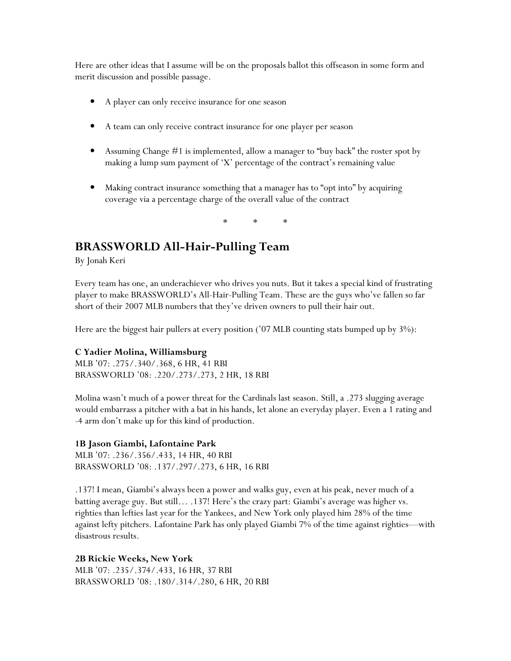Here are other ideas that I assume will be on the proposals ballot this offseason in some form and merit discussion and possible passage.

- A player can only receive insurance for one season
- A team can only receive contract insurance for one player per season
- Assuming Change #1 is implemented, allow a manager to "buy back" the roster spot by making a lump sum payment of 'X' percentage of the contract's remaining value
- Making contract insurance something that a manager has to "opt into" by acquiring coverage via a percentage charge of the overall value of the contract

\* \* \*

## BRASSWORLD All-Hair-Pulling Team

By Jonah Keri

Every team has one, an underachiever who drives you nuts. But it takes a special kind of frustrating player to make BRASSWORLD's All-Hair-Pulling Team. These are the guys who've fallen so far short of their 2007 MLB numbers that they've driven owners to pull their hair out.

Here are the biggest hair pullers at every position ('07 MLB counting stats bumped up by 3%):

#### C Yadier Molina, Williamsburg

MLB '07: .275/.340/.368, 6 HR, 41 RBI BRASSWORLD '08: .220/.273/.273, 2 HR, 18 RBI

Molina wasn't much of a power threat for the Cardinals last season. Still, a .273 slugging average would embarrass a pitcher with a bat in his hands, let alone an everyday player. Even a 1 rating and -4 arm don't make up for this kind of production.

#### 1B Jason Giambi, Lafontaine Park

MLB '07: .236/.356/.433, 14 HR, 40 RBI BRASSWORLD '08: .137/.297/.273, 6 HR, 16 RBI

.137! I mean, Giambi's always been a power and walks guy, even at his peak, never much of a batting average guy. But still… .137! Here's the crazy part: Giambi's average was higher vs. righties than lefties last year for the Yankees, and New York only played him 28% of the time against lefty pitchers. Lafontaine Park has only played Giambi 7% of the time against righties—with disastrous results.

2B Rickie Weeks, New York MLB '07: .235/.374/.433, 16 HR, 37 RBI BRASSWORLD '08: .180/.314/.280, 6 HR, 20 RBI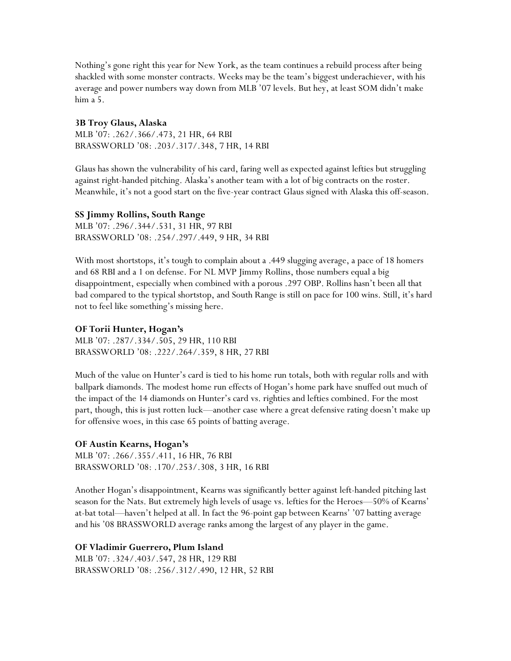Nothing's gone right this year for New York, as the team continues a rebuild process after being shackled with some monster contracts. Weeks may be the team's biggest underachiever, with his average and power numbers way down from MLB '07 levels. But hey, at least SOM didn't make him a 5.

#### 3B Troy Glaus, Alaska

MLB '07: .262/.366/.473, 21 HR, 64 RBI BRASSWORLD '08: .203/.317/.348, 7 HR, 14 RBI

Glaus has shown the vulnerability of his card, faring well as expected against lefties but struggling against right-handed pitching. Alaska's another team with a lot of big contracts on the roster. Meanwhile, it's not a good start on the five-year contract Glaus signed with Alaska this off-season.

#### SS Jimmy Rollins, South Range

MLB '07: .296/.344/.531, 31 HR, 97 RBI BRASSWORLD '08: .254/.297/.449, 9 HR, 34 RBI

With most shortstops, it's tough to complain about a .449 slugging average, a pace of 18 homers and 68 RBI and a 1 on defense. For NL MVP Jimmy Rollins, those numbers equal a big disappointment, especially when combined with a porous .297 OBP. Rollins hasn't been all that bad compared to the typical shortstop, and South Range is still on pace for 100 wins. Still, it's hard not to feel like something's missing here.

#### OF Torii Hunter, Hogan's

MLB '07: .287/.334/.505, 29 HR, 110 RBI BRASSWORLD '08: .222/.264/.359, 8 HR, 27 RBI

Much of the value on Hunter's card is tied to his home run totals, both with regular rolls and with ballpark diamonds. The modest home run effects of Hogan's home park have snuffed out much of the impact of the 14 diamonds on Hunter's card vs. righties and lefties combined. For the most part, though, this is just rotten luck—another case where a great defensive rating doesn't make up for offensive woes, in this case 65 points of batting average.

#### OF Austin Kearns, Hogan's

MLB '07: .266/.355/.411, 16 HR, 76 RBI BRASSWORLD '08: .170/.253/.308, 3 HR, 16 RBI

Another Hogan's disappointment, Kearns was significantly better against left-handed pitching last season for the Nats. But extremely high levels of usage vs. lefties for the Heroes—50% of Kearns' at-bat total—haven't helped at all. In fact the 96-point gap between Kearns' '07 batting average and his '08 BRASSWORLD average ranks among the largest of any player in the game.

OF Vladimir Guerrero, Plum Island MLB '07: .324/.403/.547, 28 HR, 129 RBI BRASSWORLD '08: .256/.312/.490, 12 HR, 52 RBI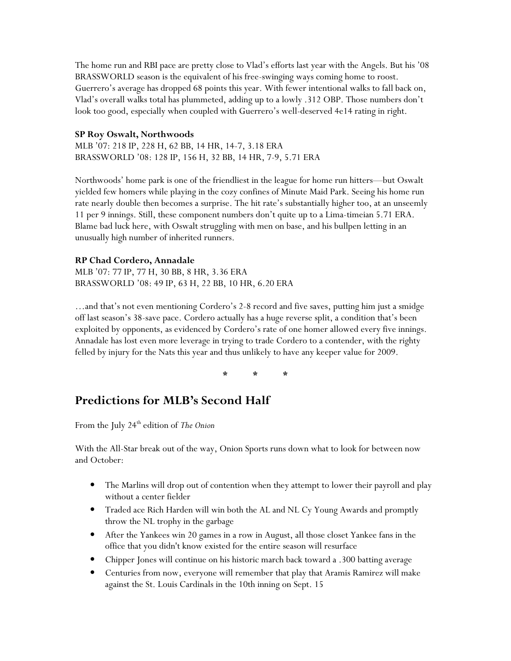The home run and RBI pace are pretty close to Vlad's efforts last year with the Angels. But his '08 BRASSWORLD season is the equivalent of his free-swinging ways coming home to roost. Guerrero's average has dropped 68 points this year. With fewer intentional walks to fall back on, Vlad's overall walks total has plummeted, adding up to a lowly .312 OBP. Those numbers don't look too good, especially when coupled with Guerrero's well-deserved 4e14 rating in right.

#### SP Roy Oswalt, Northwoods

MLB '07: 218 IP, 228 H, 62 BB, 14 HR, 14-7, 3.18 ERA BRASSWORLD '08: 128 IP, 156 H, 32 BB, 14 HR, 7-9, 5.71 ERA

Northwoods' home park is one of the friendliest in the league for home run hitters—but Oswalt yielded few homers while playing in the cozy confines of Minute Maid Park. Seeing his home run rate nearly double then becomes a surprise. The hit rate's substantially higher too, at an unseemly 11 per 9 innings. Still, these component numbers don't quite up to a Lima-timeian 5.71 ERA. Blame bad luck here, with Oswalt struggling with men on base, and his bullpen letting in an unusually high number of inherited runners.

#### RP Chad Cordero, Annadale

MLB '07: 77 IP, 77 H, 30 BB, 8 HR, 3.36 ERA BRASSWORLD '08: 49 IP, 63 H, 22 BB, 10 HR, 6.20 ERA

…and that's not even mentioning Cordero's 2-8 record and five saves, putting him just a smidge off last season's 38-save pace. Cordero actually has a huge reverse split, a condition that's been exploited by opponents, as evidenced by Cordero's rate of one homer allowed every five innings. Annadale has lost even more leverage in trying to trade Cordero to a contender, with the righty felled by injury for the Nats this year and thus unlikely to have any keeper value for 2009.

\* \* \*

# Predictions for MLB's Second Half

From the July  $24^{\text{th}}$  edition of The Onion

With the All-Star break out of the way, Onion Sports runs down what to look for between now and October:

- The Marlins will drop out of contention when they attempt to lower their payroll and play without a center fielder
- Traded ace Rich Harden will win both the AL and NL Cy Young Awards and promptly throw the NL trophy in the garbage
- After the Yankees win 20 games in a row in August, all those closet Yankee fans in the office that you didn't know existed for the entire season will resurface
- Chipper Jones will continue on his historic march back toward a .300 batting average
- Centuries from now, everyone will remember that play that Aramis Ramirez will make against the St. Louis Cardinals in the 10th inning on Sept. 15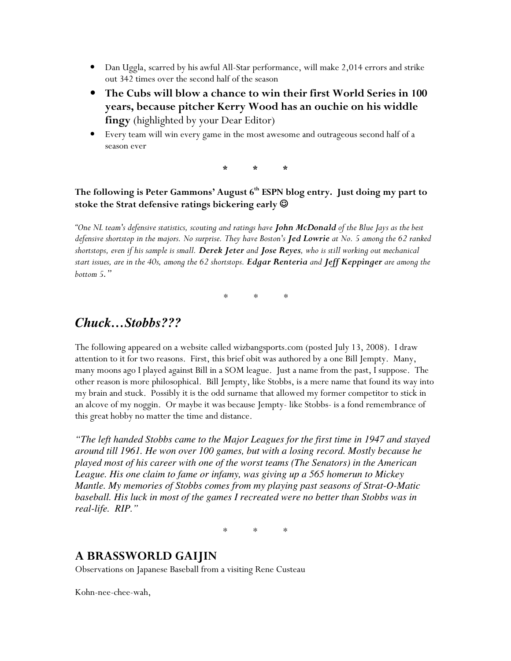- Dan Uggla, scarred by his awful All-Star performance, will make 2,014 errors and strike out 342 times over the second half of the season
- The Cubs will blow a chance to win their first World Series in 100 years, because pitcher Kerry Wood has an ouchie on his widdle fingy (highlighted by your Dear Editor)
- Every team will win every game in the most awesome and outrageous second half of a season ever

\* \* \*

## The following is Peter Gammons' August 6<sup>th</sup> ESPN blog entry. Just doing my part to stoke the Strat defensive ratings bickering early  $\Theta$

"One NL team's defensive statistics, scouting and ratings have John McDonald of the Blue Jays as the best defensive shortstop in the majors. No surprise. They have Boston's Jed Lowrie at No. 5 among the 62 ranked shortstops, even if his sample is small. Derek Jeter and Jose Reyes, who is still working out mechanical start issues, are in the 40s, among the 62 shortstops. Edgar Renteria and Jeff Keppinger are among the bottom 5*."* 

*\* \* \** 

# *Chuck…Stobbs???*

The following appeared on a website called wizbangsports.com (posted July 13, 2008). I draw attention to it for two reasons. First, this brief obit was authored by a one Bill Jempty. Many, many moons ago I played against Bill in a SOM league. Just a name from the past, I suppose. The other reason is more philosophical. Bill Jempty, like Stobbs, is a mere name that found its way into my brain and stuck. Possibly it is the odd surname that allowed my former competitor to stick in an alcove of my noggin. Or maybe it was because Jempty- like Stobbs- is a fond remembrance of this great hobby no matter the time and distance.

*"The left handed Stobbs came to the Major Leagues for the first time in 1947 and stayed around till 1961. He won over 100 games, but with a losing record. Mostly because he played most of his career with one of the worst teams (The Senators) in the American League. His one claim to fame or infamy, was giving up a 565 homerun to Mickey Mantle. My memories of Stobbs comes from my playing past seasons of Strat-O-Matic baseball. His luck in most of the games I recreated were no better than Stobbs was in real-life. RIP."* 

\* \* \*

## A BRASSWORLD GAIJIN

Observations on Japanese Baseball from a visiting Rene Custeau

Kohn-nee-chee-wah,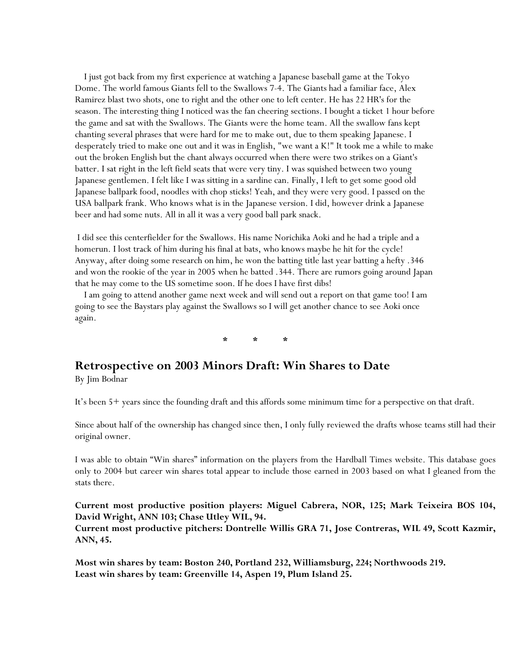I just got back from my first experience at watching a Japanese baseball game at the Tokyo Dome. The world famous Giants fell to the Swallows 7-4. The Giants had a familiar face, Alex Ramirez blast two shots, one to right and the other one to left center. He has 22 HR's for the season. The interesting thing I noticed was the fan cheering sections. I bought a ticket 1 hour before the game and sat with the Swallows. The Giants were the home team. All the swallow fans kept chanting several phrases that were hard for me to make out, due to them speaking Japanese. I desperately tried to make one out and it was in English, "we want a K!" It took me a while to make out the broken English but the chant always occurred when there were two strikes on a Giant's batter. I sat right in the left field seats that were very tiny. I was squished between two young Japanese gentlemen. I felt like I was sitting in a sardine can. Finally, I left to get some good old Japanese ballpark food, noodles with chop sticks! Yeah, and they were very good. I passed on the USA ballpark frank. Who knows what is in the Japanese version. I did, however drink a Japanese beer and had some nuts. All in all it was a very good ball park snack.

 I did see this centerfielder for the Swallows. His name Norichika Aoki and he had a triple and a homerun. I lost track of him during his final at bats, who knows maybe he hit for the cycle! Anyway, after doing some research on him, he won the batting title last year batting a hefty .346 and won the rookie of the year in 2005 when he batted .344. There are rumors going around Japan that he may come to the US sometime soon. If he does I have first dibs!

 I am going to attend another game next week and will send out a report on that game too! I am going to see the Baystars play against the Swallows so I will get another chance to see Aoki once again.

\* \* \*

### Retrospective on 2003 Minors Draft: Win Shares to Date

By Jim Bodnar

It's been 5+ years since the founding draft and this affords some minimum time for a perspective on that draft.

Since about half of the ownership has changed since then, I only fully reviewed the drafts whose teams still had their original owner.

I was able to obtain "Win shares" information on the players from the Hardball Times website. This database goes only to 2004 but career win shares total appear to include those earned in 2003 based on what I gleaned from the stats there.

Current most productive position players: Miguel Cabrera, NOR, 125; Mark Teixeira BOS 104, David Wright, ANN 103; Chase Utley WIL, 94.

Current most productive pitchers: Dontrelle Willis GRA 71, Jose Contreras, WIL 49, Scott Kazmir, ANN, 45.

Most win shares by team: Boston 240, Portland 232, Williamsburg, 224; Northwoods 219. Least win shares by team: Greenville 14, Aspen 19, Plum Island 25.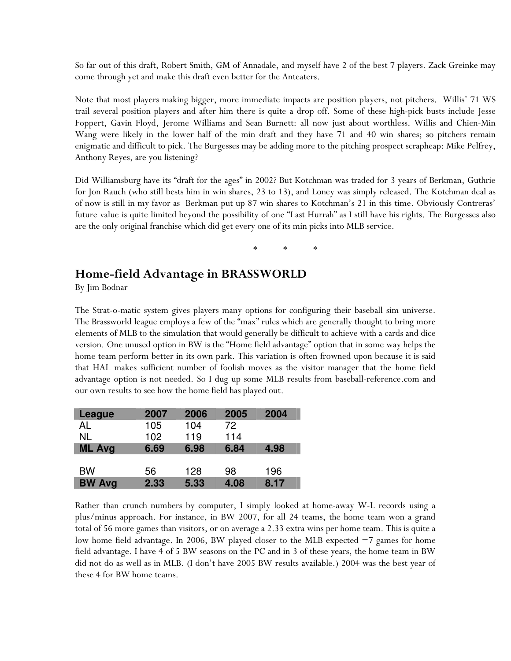So far out of this draft, Robert Smith, GM of Annadale, and myself have 2 of the best 7 players. Zack Greinke may come through yet and make this draft even better for the Anteaters.

Note that most players making bigger, more immediate impacts are position players, not pitchers. Willis' 71 WS trail several position players and after him there is quite a drop off. Some of these high-pick busts include Jesse Foppert, Gavin Floyd, Jerome Williams and Sean Burnett: all now just about worthless. Willis and Chien-Min Wang were likely in the lower half of the min draft and they have 71 and 40 win shares; so pitchers remain enigmatic and difficult to pick. The Burgesses may be adding more to the pitching prospect scrapheap: Mike Pelfrey, Anthony Reyes, are you listening?

Did Williamsburg have its "draft for the ages" in 2002? But Kotchman was traded for 3 years of Berkman, Guthrie for Jon Rauch (who still bests him in win shares, 23 to 13), and Loney was simply released. The Kotchman deal as of now is still in my favor as Berkman put up 87 win shares to Kotchman's 21 in this time. Obviously Contreras' future value is quite limited beyond the possibility of one "Last Hurrah" as I still have his rights. The Burgesses also are the only original franchise which did get every one of its min picks into MLB service.

\* \* \*

## Home-field Advantage in BRASSWORLD

By Jim Bodnar

The Strat-o-matic system gives players many options for configuring their baseball sim universe. The Brassworld league employs a few of the "max" rules which are generally thought to bring more elements of MLB to the simulation that would generally be difficult to achieve with a cards and dice version. One unused option in BW is the "Home field advantage" option that in some way helps the home team perform better in its own park. This variation is often frowned upon because it is said that HAL makes sufficient number of foolish moves as the visitor manager that the home field advantage option is not needed. So I dug up some MLB results from baseball-reference.com and our own results to see how the home field has played out.

| League        | 2007 | 2006 | 2005 | 2004 |
|---------------|------|------|------|------|
| AL            | 105  | 104  | 72   |      |
| <b>NL</b>     | 102  | 119  | 114  |      |
| <b>ML Avg</b> | 6.69 | 6.98 | 6.84 | 4.98 |
|               |      |      |      |      |
| <b>BW</b>     | 56   | 128  | 98   | 196  |
| <b>BW Avg</b> | 2.33 | 5.33 | 4.08 | 8.17 |

Rather than crunch numbers by computer, I simply looked at home-away W-L records using a plus/minus approach. For instance, in BW 2007, for all 24 teams, the home team won a grand total of 56 more games than visitors, or on average a 2.33 extra wins per home team. This is quite a low home field advantage. In 2006, BW played closer to the MLB expected +7 games for home field advantage. I have 4 of 5 BW seasons on the PC and in 3 of these years, the home team in BW did not do as well as in MLB. (I don't have 2005 BW results available.) 2004 was the best year of these 4 for BW home teams.